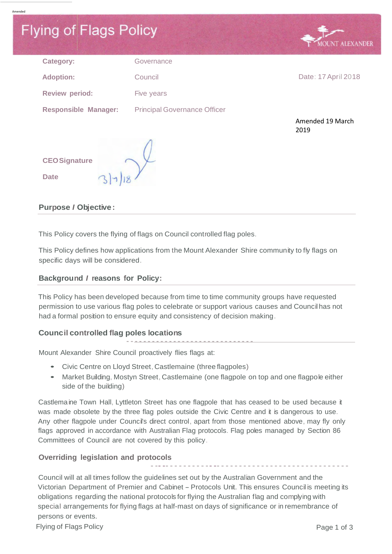# **Flying of Flags Policy T ALEXANDER** Category: Governance **Adoption:** Council Council Council Date: 17 April 2018 **Review period:** Five years **Responsible Manager:** Principal Governance Officer Amended 19 March 2019 **CEOSignature Date**

# **Purpose** *I* **Objective:**

Amended

This Policy covers the flying of flags on Council controlled flag poles.

This Policy defines how applications from the Mount Alexander Shire community to fly flags on specific days will be considered.

# **Background** *I* **reasons for Policy:**

This Policy has been developed because from time to time community groups have requested permission to use various flag poles to celebrate or support various causes and Council has not had a formal position to ensure equity and consistency of decision making.

# **Council controlled flag poles locations**

--<del>--------------------------</del> Mount Alexander Shire Council proactively flies flags at:

- Civic Centre on Lloyd Street, Castlemaine (three flagpoles)
- Market Building, Mostyn Street, Castlemaine (one flagpole on top and one flagpole either side of the building)

Castlemaine Town Hall, Lyttleton Street has one flagpole that has ceased to be used because it was made obsolete by the three flag poles outside the Civic Centre and it is dangerous to use. Any other flagpole under Council's direct control, apart from those mentioned above, may fly only flags approved in accordance with Australian Flag protocols. Flag poles managed by Section 86 Committees of Council are not covered by this policy.

# **Overriding legislation and protocols**

Council will at all times follow the guidelines set out by the Australian Government and the Victorian Department of Premier and Cabinet- Protocols Unit. This ensures Council is meeting its obligations regarding the national protocols for flying the Australian flag and complying with special arrangements for flying flags at half-mast on days of significance or in remembrance of persons or events.

----------------------------------------------

Flying of Flags Policy **Page 1 of 3**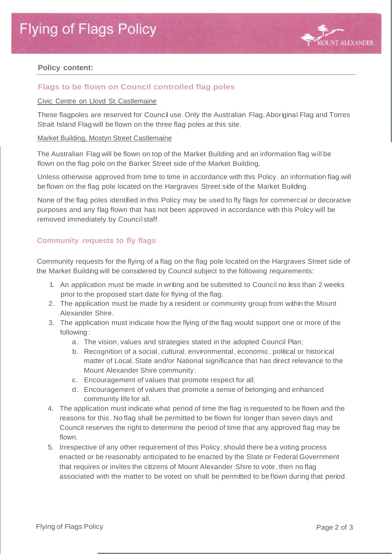

## **Policy content:**

# **Flags to be flown on Council controlled flag poles**

#### Civic Centre on Lloyd St. Castlemaine

These flagpoles are reserved for Council use. Only the Australian Flag, Aboriginal Flag and Torres Strait Island Flag will be flown on the three flag poles at this site.

#### Market Building, Mostyn Street Castlemaine

The Australian Flag will be flown on top of the Market Building and an information flag will be flown on the flag pole on the Barker Street side of the Market Building.

Unless otherwise approved from time to time in accordance with this Policy, an information flag will be flown on the flag pole located on the Hargraves Street side of the Market Building.

None of the flag poles identified in this Policy may be used to fly flags for commercial or decorative purposes and any flag flown that has not been approved in accordance with this Policy will be removed immediately by Council staff.

## **Community requests to fly flags**

Community requests for the flying of a flag on the flag pole located on the Hargraves Street side of the Market Building will be considered by Council subject to the following requirements:

- 1. An application must be made in writing and be submitted to Council no less than 2 weeks prior to the proposed start date for flying of the flag.
- 2. The application must be made by a resident or community group from within the Mount Alexander Shire.
- 3. The application must indicate how the flying of the flag would support one or more of the following :
	- a. The vision, values and strategies stated in the adopted Council Plan;
	- b. Recognition of a social, cultural, environmental, economic , political or historical matter of Local, State and/or National significance that has direct relevance to the Mount Alexander Shire community;
	- c. Encouragement of values that promote respect for all;
	- d. Encouragement of values that promote a sense of belonging and enhanced community life for all.
- 4. The application must indicate what period of time the flag is requested to be flown and the reasons for this. No flag shall be permitted to be flown for longer than seven days and Council reserves the right to determine the period of time that any approved flag may be flown.
- 5. Irrespective of any other requirement of this Policy, should there be a voting process enacted or be reasonably anticipated to be enacted by the State or Federal Government that requires or invites the citizens of Mount Alexander Shire to vote, then no flag associated with the matter to be voted on shall be permitted to be flown during that period.